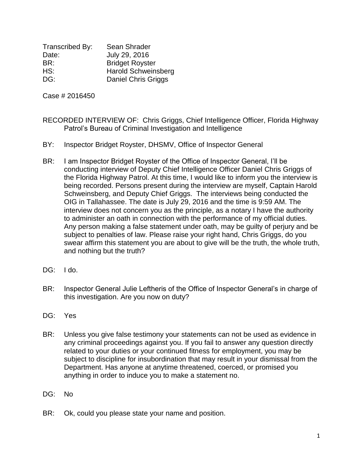Transcribed By: Sean Shrader Date: July 29, 2016 BR: Bridget Royster HS: Harold Schweinsberg DG: Daniel Chris Griggs

Case # 2016450

- RECORDED INTERVIEW OF: Chris Griggs, Chief Intelligence Officer, Florida Highway Patrol's Bureau of Criminal Investigation and Intelligence
- BY: Inspector Bridget Royster, DHSMV, Office of Inspector General
- BR: I am Inspector Bridget Royster of the Office of Inspector General, I'll be conducting interview of Deputy Chief Intelligence Officer Daniel Chris Griggs of the Florida Highway Patrol. At this time, I would like to inform you the interview is being recorded. Persons present during the interview are myself, Captain Harold Schweinsberg, and Deputy Chief Griggs. The interviews being conducted the OIG in Tallahassee. The date is July 29, 2016 and the time is 9:59 AM. The interview does not concern you as the principle, as a notary I have the authority to administer an oath in connection with the performance of my official duties. Any person making a false statement under oath, may be guilty of perjury and be subject to penalties of law. Please raise your right hand, Chris Griggs, do you swear affirm this statement you are about to give will be the truth, the whole truth, and nothing but the truth?
- DG: I do.
- BR: Inspector General Julie Leftheris of the Office of Inspector General's in charge of this investigation. Are you now on duty?
- DG: Yes
- BR: Unless you give false testimony your statements can not be used as evidence in any criminal proceedings against you. If you fail to answer any question directly related to your duties or your continued fitness for employment, you may be subject to discipline for insubordination that may result in your dismissal from the Department. Has anyone at anytime threatened, coerced, or promised you anything in order to induce you to make a statement no.
- DG: No
- BR: Ok, could you please state your name and position.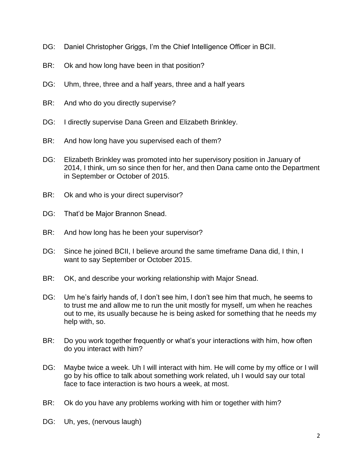- DG: Daniel Christopher Griggs, I'm the Chief Intelligence Officer in BCII.
- BR: Ok and how long have been in that position?
- DG: Uhm, three, three and a half years, three and a half years
- BR: And who do you directly supervise?
- DG: I directly supervise Dana Green and Elizabeth Brinkley.
- BR: And how long have you supervised each of them?
- DG: Elizabeth Brinkley was promoted into her supervisory position in January of 2014, I think, um so since then for her, and then Dana came onto the Department in September or October of 2015.
- BR: Ok and who is your direct supervisor?
- DG: That'd be Major Brannon Snead.
- BR: And how long has he been your supervisor?
- DG: Since he joined BCII, I believe around the same timeframe Dana did, I thin, I want to say September or October 2015.
- BR: OK, and describe your working relationship with Major Snead.
- DG: Um he's fairly hands of, I don't see him, I don't see him that much, he seems to to trust me and allow me to run the unit mostly for myself, um when he reaches out to me, its usually because he is being asked for something that he needs my help with, so.
- BR: Do you work together frequently or what's your interactions with him, how often do you interact with him?
- DG: Maybe twice a week. Uh I will interact with him. He will come by my office or I will go by his office to talk about something work related, uh I would say our total face to face interaction is two hours a week, at most.
- BR: Ok do you have any problems working with him or together with him?
- DG: Uh, yes, (nervous laugh)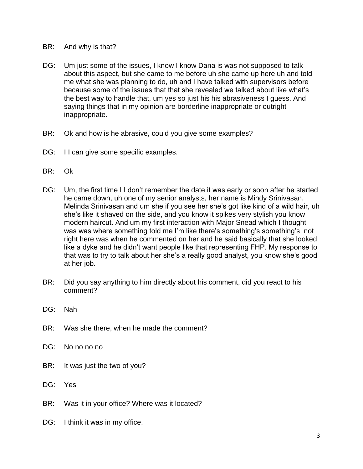- BR: And why is that?
- DG: Um just some of the issues, I know I know Dana is was not supposed to talk about this aspect, but she came to me before uh she came up here uh and told me what she was planning to do, uh and I have talked with supervisors before because some of the issues that that she revealed we talked about like what's the best way to handle that, um yes so just his his abrasiveness I guess. And saying things that in my opinion are borderline inappropriate or outright inappropriate.
- BR: Ok and how is he abrasive, could you give some examples?
- DG: I I can give some specific examples.
- BR: Ok
- DG: Um, the first time II don't remember the date it was early or soon after he started he came down, uh one of my senior analysts, her name is Mindy Srinivasan. Melinda Srinivasan and um she if you see her she's got like kind of a wild hair, uh she's like it shaved on the side, and you know it spikes very stylish you know modern haircut. And um my first interaction with Major Snead which I thought was was where something told me I'm like there's something's something's not right here was when he commented on her and he said basically that she looked like a dyke and he didn't want people like that representing FHP. My response to that was to try to talk about her she's a really good analyst, you know she's good at her job.
- BR: Did you say anything to him directly about his comment, did you react to his comment?
- DG: Nah
- BR: Was she there, when he made the comment?
- DG: No no no no
- BR: It was just the two of you?
- DG: Yes
- BR: Was it in your office? Where was it located?
- DG: I think it was in my office.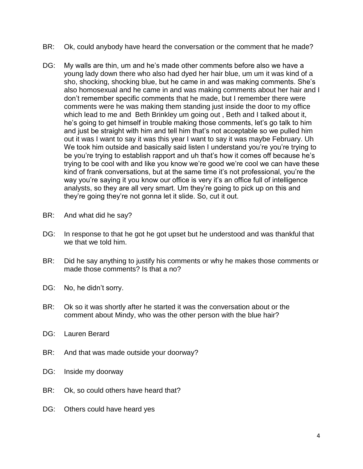- BR: Ok, could anybody have heard the conversation or the comment that he made?
- DG: My walls are thin, um and he's made other comments before also we have a young lady down there who also had dyed her hair blue, um um it was kind of a sho, shocking, shocking blue, but he came in and was making comments. She's also homosexual and he came in and was making comments about her hair and I don't remember specific comments that he made, but I remember there were comments were he was making them standing just inside the door to my office which lead to me and Beth Brinkley um going out , Beth and I talked about it, he's going to get himself in trouble making those comments, let's go talk to him and just be straight with him and tell him that's not acceptable so we pulled him out it was I want to say it was this year I want to say it was maybe February. Uh We took him outside and basically said listen I understand you're you're trying to be you're trying to establish rapport and uh that's how it comes off because he's trying to be cool with and like you know we're good we're cool we can have these kind of frank conversations, but at the same time it's not professional, you're the way you're saying it you know our office is very it's an office full of intelligence analysts, so they are all very smart. Um they're going to pick up on this and they're going they're not gonna let it slide. So, cut it out.
- BR: And what did he say?
- DG: In response to that he got he got upset but he understood and was thankful that we that we told him.
- BR: Did he say anything to justify his comments or why he makes those comments or made those comments? Is that a no?
- DG: No, he didn't sorry.
- BR: Ok so it was shortly after he started it was the conversation about or the comment about Mindy, who was the other person with the blue hair?
- DG: Lauren Berard
- BR: And that was made outside your doorway?
- DG: Inside my doorway
- BR: Ok, so could others have heard that?
- DG: Others could have heard yes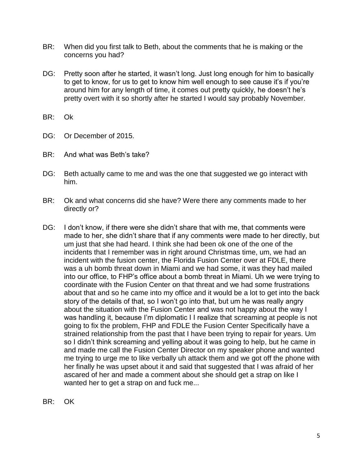- BR: When did you first talk to Beth, about the comments that he is making or the concerns you had?
- DG: Pretty soon after he started, it wasn't long. Just long enough for him to basically to get to know, for us to get to know him well enough to see cause it's if you're around him for any length of time, it comes out pretty quickly, he doesn't he's pretty overt with it so shortly after he started I would say probably November.
- BR: Ok
- DG: Or December of 2015.
- BR: And what was Beth's take?
- DG: Beth actually came to me and was the one that suggested we go interact with him.
- BR: Ok and what concerns did she have? Were there any comments made to her directly or?
- DG: I don't know, if there were she didn't share that with me, that comments were made to her, she didn't share that if any comments were made to her directly, but um just that she had heard. I think she had been ok one of the one of the incidents that I remember was in right around Christmas time, um, we had an incident with the fusion center, the Florida Fusion Center over at FDLE, there was a uh bomb threat down in Miami and we had some, it was they had mailed into our office, to FHP's office about a bomb threat in Miami. Uh we were trying to coordinate with the Fusion Center on that threat and we had some frustrations about that and so he came into my office and it would be a lot to get into the back story of the details of that, so I won't go into that, but um he was really angry about the situation with the Fusion Center and was not happy about the way I was handling it, because I'm diplomatic I I realize that screaming at people is not going to fix the problem, FHP and FDLE the Fusion Center Specifically have a strained relationship from the past that I have been trying to repair for years. Um so I didn't think screaming and yelling about it was going to help, but he came in and made me call the Fusion Center Director on my speaker phone and wanted me trying to urge me to like verbally uh attack them and we got off the phone with her finally he was upset about it and said that suggested that I was afraid of her ascared of her and made a comment about she should get a strap on like I wanted her to get a strap on and fuck me...
- BR: OK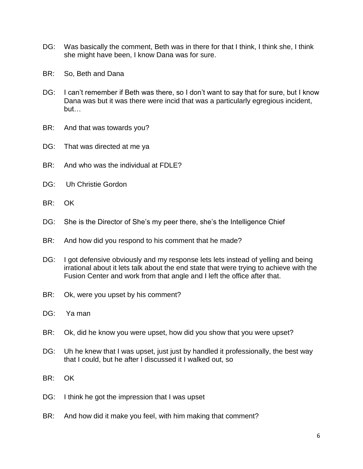- DG: Was basically the comment, Beth was in there for that I think, I think she, I think she might have been, I know Dana was for sure.
- BR: So, Beth and Dana
- DG: I can't remember if Beth was there, so I don't want to say that for sure, but I know Dana was but it was there were incid that was a particularly egregious incident, but…
- BR: And that was towards you?
- DG: That was directed at me ya
- BR: And who was the individual at FDLE?
- DG: Uh Christie Gordon
- BR: OK
- DG: She is the Director of She's my peer there, she's the Intelligence Chief
- BR: And how did you respond to his comment that he made?
- DG: I got defensive obviously and my response lets lets instead of yelling and being irrational about it lets talk about the end state that were trying to achieve with the Fusion Center and work from that angle and I left the office after that.
- BR: Ok, were you upset by his comment?
- DG: Ya man
- BR: Ok, did he know you were upset, how did you show that you were upset?
- DG: Uh he knew that I was upset, just just by handled it professionally, the best way that I could, but he after I discussed it I walked out, so
- BR: OK
- DG: I think he got the impression that I was upset
- BR: And how did it make you feel, with him making that comment?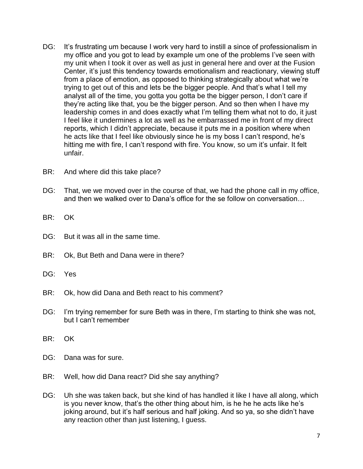- DG: It's frustrating um because I work very hard to instill a since of professionalism in my office and you got to lead by example um one of the problems I've seen with my unit when I took it over as well as just in general here and over at the Fusion Center, it's just this tendency towards emotionalism and reactionary, viewing stuff from a place of emotion, as opposed to thinking strategically about what we're trying to get out of this and lets be the bigger people. And that's what I tell my analyst all of the time, you gotta you gotta be the bigger person, I don't care if they're acting like that, you be the bigger person. And so then when I have my leadership comes in and does exactly what I'm telling them what not to do, it just I feel like it undermines a lot as well as he embarrassed me in front of my direct reports, which I didn't appreciate, because it puts me in a position where when he acts like that I feel like obviously since he is my boss I can't respond, he's hitting me with fire, I can't respond with fire. You know, so um it's unfair. It felt unfair.
- BR: And where did this take place?
- DG: That, we we moved over in the course of that, we had the phone call in my office, and then we walked over to Dana's office for the se follow on conversation…
- BR: OK
- DG: But it was all in the same time.
- BR: Ok, But Beth and Dana were in there?
- DG: Yes
- BR: Ok, how did Dana and Beth react to his comment?
- DG: I'm trying remember for sure Beth was in there, I'm starting to think she was not, but I can't remember
- BR: OK
- DG: Dana was for sure.
- BR: Well, how did Dana react? Did she say anything?
- DG: Uh she was taken back, but she kind of has handled it like I have all along, which is you never know, that's the other thing about him, is he he he acts like he's joking around, but it's half serious and half joking. And so ya, so she didn't have any reaction other than just listening, I guess.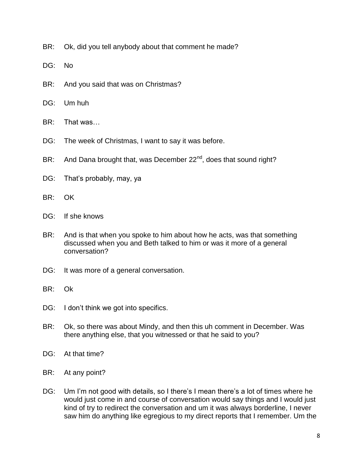- BR: Ok, did you tell anybody about that comment he made?
- DG: No
- BR: And you said that was on Christmas?
- DG: Um huh
- BR: That was…
- DG: The week of Christmas, I want to say it was before.
- BR: And Dana brought that, was December 22<sup>nd</sup>, does that sound right?
- DG: That's probably, may, ya
- BR: OK
- DG: If she knows
- BR: And is that when you spoke to him about how he acts, was that something discussed when you and Beth talked to him or was it more of a general conversation?
- DG: It was more of a general conversation.
- BR: Ok
- DG: I don't think we got into specifics.
- BR: Ok, so there was about Mindy, and then this uh comment in December. Was there anything else, that you witnessed or that he said to you?
- DG: At that time?
- BR: At any point?
- DG: Um I'm not good with details, so I there's I mean there's a lot of times where he would just come in and course of conversation would say things and I would just kind of try to redirect the conversation and um it was always borderline, I never saw him do anything like egregious to my direct reports that I remember. Um the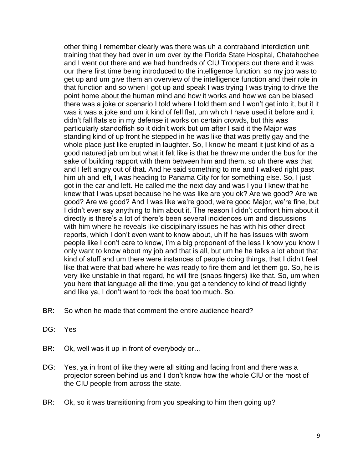other thing I remember clearly was there was uh a contraband interdiction unit training that they had over in um over by the Florida State Hospital, Chatahochee and I went out there and we had hundreds of CIU Troopers out there and it was our there first time being introduced to the intelligence function, so my job was to get up and um give them an overview of the intelligence function and their role in that function and so when I got up and speak I was trying I was trying to drive the point home about the human mind and how it works and how we can be biased there was a joke or scenario I told where I told them and I won't get into it, but it it was it was a joke and um it kind of fell flat, um which I have used it before and it didn't fall flats so in my defense it works on certain crowds, but this was particularly standoffish so it didn't work but um after I said it the Major was standing kind of up front he stepped in he was like that was pretty gay and the whole place just like erupted in laughter. So, I know he meant it just kind of as a good natured jab um but what it felt like is that he threw me under the bus for the sake of building rapport with them between him and them, so uh there was that and I left angry out of that. And he said something to me and I walked right past him uh and left, I was heading to Panama City for for something else. So, I just got in the car and left. He called me the next day and was I you I knew that he knew that I was upset because he he was like are you ok? Are we good? Are we good? Are we good? And I was like we're good, we're good Major, we're fine, but I didn't ever say anything to him about it. The reason I didn't confront him about it directly is there's a lot of there's been several incidences um and discussions with him where he reveals like disciplinary issues he has with his other direct reports, which I don't even want to know about, uh if he has issues with sworn people like I don't care to know, I'm a big proponent of the less I know you know I only want to know about my job and that is all, but um he he talks a lot about that kind of stuff and um there were instances of people doing things, that I didn't feel like that were that bad where he was ready to fire them and let them go. So, he is very like unstable in that regard, he will fire (snaps fingers) like that. So, um when you here that language all the time, you get a tendency to kind of tread lightly and like ya, I don't want to rock the boat too much. So.

- BR: So when he made that comment the entire audience heard?
- DG: Yes
- BR: Ok, well was it up in front of everybody or...
- DG: Yes, ya in front of like they were all sitting and facing front and there was a projector screen behind us and I don't know how the whole CIU or the most of the CIU people from across the state.
- BR: Ok, so it was transitioning from you speaking to him then going up?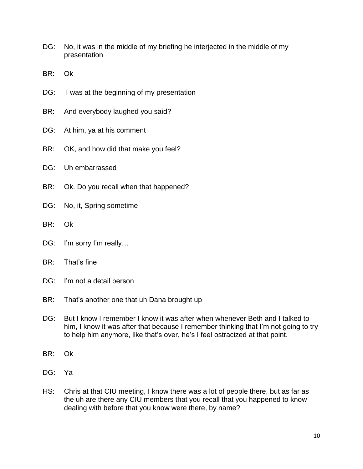- DG: No, it was in the middle of my briefing he interjected in the middle of my presentation
- BR: Ok
- DG: I was at the beginning of my presentation
- BR: And everybody laughed you said?
- DG: At him, ya at his comment
- BR: OK, and how did that make you feel?
- DG: Uh embarrassed
- BR: Ok. Do you recall when that happened?
- DG: No, it, Spring sometime
- BR: Ok
- DG: I'm sorry I'm really...
- BR: That's fine
- DG: I'm not a detail person
- BR: That's another one that uh Dana brought up
- DG: But I know I remember I know it was after when whenever Beth and I talked to him, I know it was after that because I remember thinking that I'm not going to try to help him anymore, like that's over, he's I feel ostracized at that point.
- BR: Ok
- DG: Ya
- HS: Chris at that CIU meeting, I know there was a lot of people there, but as far as the uh are there any CIU members that you recall that you happened to know dealing with before that you know were there, by name?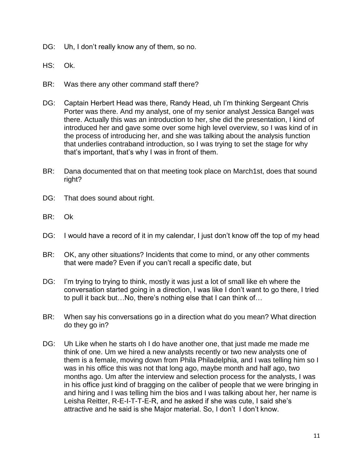- DG: Uh, I don't really know any of them, so no.
- HS: Ok.
- BR: Was there any other command staff there?
- DG: Captain Herbert Head was there, Randy Head, uh I'm thinking Sergeant Chris Porter was there. And my analyst, one of my senior analyst Jessica Bangel was there. Actually this was an introduction to her, she did the presentation, I kind of introduced her and gave some over some high level overview, so I was kind of in the process of introducing her, and she was talking about the analysis function that underlies contraband introduction, so I was trying to set the stage for why that's important, that's why I was in front of them.
- BR: Dana documented that on that meeting took place on March1st, does that sound right?
- DG: That does sound about right.
- BR: Ok
- DG: I would have a record of it in my calendar, I just don't know off the top of my head
- BR: OK, any other situations? Incidents that come to mind, or any other comments that were made? Even if you can't recall a specific date, but
- DG: I'm trying to trying to think, mostly it was just a lot of small like eh where the conversation started going in a direction, I was like I don't want to go there, I tried to pull it back but…No, there's nothing else that I can think of…
- BR: When say his conversations go in a direction what do you mean? What direction do they go in?
- DG: Uh Like when he starts oh I do have another one, that just made me made me think of one. Um we hired a new analysts recently or two new analysts one of them is a female, moving down from Phila Philadelphia, and I was telling him so I was in his office this was not that long ago, maybe month and half ago, two months ago. Um after the interview and selection process for the analysts, I was in his office just kind of bragging on the caliber of people that we were bringing in and hiring and I was telling him the bios and I was talking about her, her name is Leisha Reitter, R-E-I-T-T-E-R, and he asked if she was cute, I said she's attractive and he said is she Major material. So, I don't I don't know.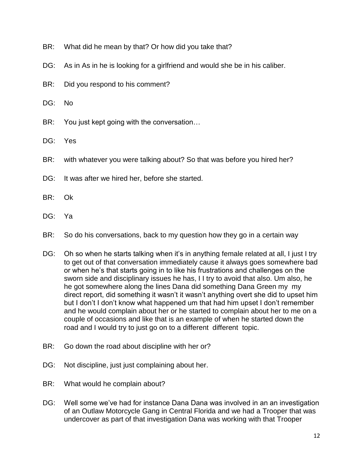- BR: What did he mean by that? Or how did you take that?
- DG: As in As in he is looking for a girlfriend and would she be in his caliber.
- BR: Did you respond to his comment?
- DG: No
- BR: You just kept going with the conversation...
- DG: Yes
- BR: with whatever you were talking about? So that was before you hired her?
- DG: It was after we hired her, before she started.
- BR: Ok
- DG: Ya
- BR: So do his conversations, back to my question how they go in a certain way
- DG: Oh so when he starts talking when it's in anything female related at all, I just I try to get out of that conversation immediately cause it always goes somewhere bad or when he's that starts going in to like his frustrations and challenges on the sworn side and disciplinary issues he has, I I try to avoid that also. Um also, he he got somewhere along the lines Dana did something Dana Green my my direct report, did something it wasn't it wasn't anything overt she did to upset him but I don't I don't know what happened um that had him upset I don't remember and he would complain about her or he started to complain about her to me on a couple of occasions and like that is an example of when he started down the road and I would try to just go on to a different different topic.
- BR: Go down the road about discipline with her or?
- DG: Not discipline, just just complaining about her.
- BR: What would he complain about?
- DG: Well some we've had for instance Dana Dana was involved in an an investigation of an Outlaw Motorcycle Gang in Central Florida and we had a Trooper that was undercover as part of that investigation Dana was working with that Trooper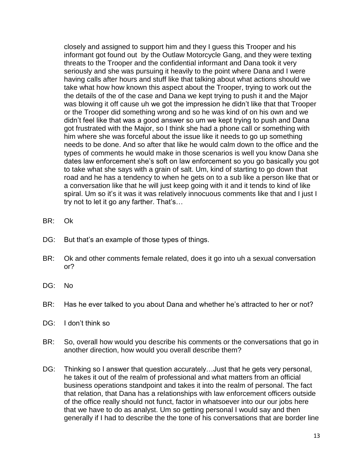closely and assigned to support him and they I guess this Trooper and his informant got found out by the Outlaw Motorcycle Gang, and they were texting threats to the Trooper and the confidential informant and Dana took it very seriously and she was pursuing it heavily to the point where Dana and I were having calls after hours and stuff like that talking about what actions should we take what how how known this aspect about the Trooper, trying to work out the the details of the of the case and Dana we kept trying to push it and the Major was blowing it off cause uh we got the impression he didn't like that that Trooper or the Trooper did something wrong and so he was kind of on his own and we didn't feel like that was a good answer so um we kept trying to push and Dana got frustrated with the Major, so I think she had a phone call or something with him where she was forceful about the issue like it needs to go up something needs to be done. And so after that like he would calm down to the office and the types of comments he would make in those scenarios is well you know Dana she dates law enforcement she's soft on law enforcement so you go basically you got to take what she says with a grain of salt. Um, kind of starting to go down that road and he has a tendency to when he gets on to a sub like a person like that or a conversation like that he will just keep going with it and it tends to kind of like spiral. Um so it's it was it was relatively innocuous comments like that and I just I try not to let it go any farther. That's…

- BR: Ok
- DG: But that's an example of those types of things.
- BR: Ok and other comments female related, does it go into uh a sexual conversation or?
- DG: No
- BR: Has he ever talked to you about Dana and whether he's attracted to her or not?
- DG: I don't think so
- BR: So, overall how would you describe his comments or the conversations that go in another direction, how would you overall describe them?
- DG: Thinking so I answer that question accurately... Just that he gets very personal, he takes it out of the realm of professional and what matters from an official business operations standpoint and takes it into the realm of personal. The fact that relation, that Dana has a relationships with law enforcement officers outside of the office really should not funct, factor in whatsoever into our our jobs here that we have to do as analyst. Um so getting personal I would say and then generally if I had to describe the the tone of his conversations that are border line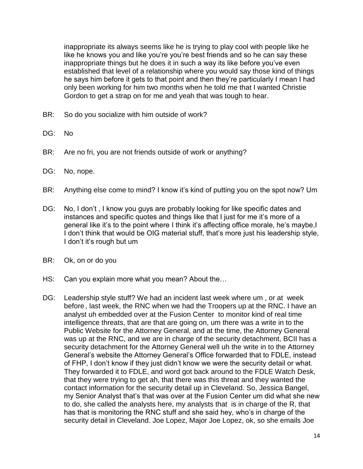inappropriate its always seems like he is trying to play cool with people like he like he knows you and like you're you're best friends and so he can say these inappropriate things but he does it in such a way its like before you've even established that level of a relationship where you would say those kind of things he says him before it gets to that point and then they're particularly I mean I had only been working for him two months when he told me that I wanted Christie Gordon to get a strap on for me and yeah that was tough to hear.

- BR: So do you socialize with him outside of work?
- DG: No
- BR: Are no fri, you are not friends outside of work or anything?
- DG: No, nope.
- BR: Anything else come to mind? I know it's kind of putting you on the spot now? Um
- DG: No, I don't , I know you guys are probably looking for like specific dates and instances and specific quotes and things like that I just for me it's more of a general like it's to the point where I think it's affecting office morale, he's maybe,I I don't think that would be OIG material stuff, that's more just his leadership style, I don't it's rough but um
- BR: Ok, on or do you
- HS: Can you explain more what you mean? About the...
- DG: Leadership style stuff? We had an incident last week where um , or at week before , last week, the RNC when we had the Troopers up at the RNC. I have an analyst uh embedded over at the Fusion Center to monitor kind of real time intelligence threats, that are that are going on, um there was a write in to the Public Website for the Attorney General, and at the time, the Attorney General was up at the RNC, and we are in charge of the security detachment, BCII has a security detachment for the Attorney General well uh the write in to the Attorney General's website the Attorney General's Office forwarded that to FDLE, instead of FHP, I don't know if they just didn't know we were the security detail or what. They forwarded it to FDLE, and word got back around to the FDLE Watch Desk, that they were trying to get ah, that there was this threat and they wanted the contact information for the security detail up in Cleveland. So, Jessica Bangel, my Senior Analyst that's that was over at the Fusion Center um did what she new to do, she called the analysts here, my analysts that is in charge of the R, that has that is monitoring the RNC stuff and she said hey, who's in charge of the security detail in Cleveland. Joe Lopez, Major Joe Lopez, ok, so she emails Joe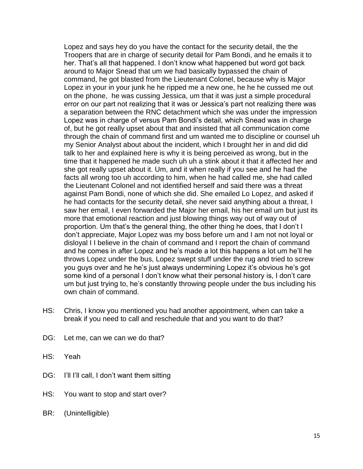Lopez and says hey do you have the contact for the security detail, the the Troopers that are in charge of security detail for Pam Bondi, and he emails it to her. That's all that happened. I don't know what happened but word got back around to Major Snead that um we had basically bypassed the chain of command, he got blasted from the Lieutenant Colonel, because why is Major Lopez in your in your junk he he ripped me a new one, he he he cussed me out on the phone, he was cussing Jessica, um that it was just a simple procedural error on our part not realizing that it was or Jessica's part not realizing there was a separation between the RNC detachment which she was under the impression Lopez was in charge of versus Pam Bondi's detail, which Snead was in charge of, but he got really upset about that and insisted that all communication come through the chain of command first and um wanted me to discipline or counsel uh my Senior Analyst about about the incident, which I brought her in and did did talk to her and explained here is why it is being perceived as wrong, but in the time that it happened he made such uh uh a stink about it that it affected her and she got really upset about it. Um, and it when really if you see and he had the facts all wrong too uh according to him, when he had called me, she had called the Lieutenant Colonel and not identified herself and said there was a threat against Pam Bondi, none of which she did. She emailed Lo Lopez, and asked if he had contacts for the security detail, she never said anything about a threat, I saw her email, I even forwarded the Major her email, his her email um but just its more that emotional reaction and just blowing things way out of way out of proportion. Um that's the general thing, the other thing he does, that I don't I don't appreciate, Major Lopez was my boss before um and I am not not loyal or disloyal I I believe in the chain of command and I report the chain of command and he comes in after Lopez and he's made a lot this happens a lot um he'll he throws Lopez under the bus, Lopez swept stuff under the rug and tried to screw you guys over and he he's just always undermining Lopez it's obvious he's got some kind of a personal I don't know what their personal history is, I don't care um but just trying to, he's constantly throwing people under the bus including his own chain of command.

- HS: Chris, I know you mentioned you had another appointment, when can take a break if you need to call and reschedule that and you want to do that?
- DG: Let me, can we can we do that?
- HS: Yeah
- DG: I'll I'll call, I don't want them sitting
- HS: You want to stop and start over?
- BR: (Unintelligible)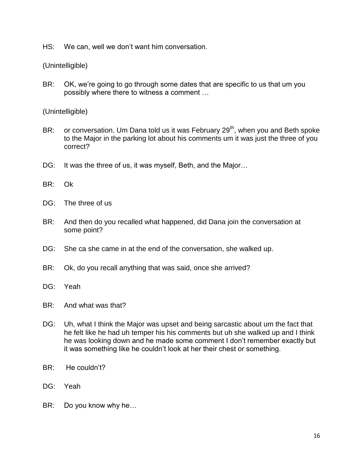HS: We can, well we don't want him conversation.

(Unintelligible)

BR: OK, we're going to go through some dates that are specific to us that um you possibly where there to witness a comment …

(Unintelligible)

- BR: or conversation. Um Dana told us it was February  $29<sup>th</sup>$ , when you and Beth spoke to the Major in the parking lot about his comments um it was just the three of you correct?
- DG: It was the three of us, it was myself, Beth, and the Major...
- BR: Ok
- DG: The three of us
- BR: And then do you recalled what happened, did Dana join the conversation at some point?
- DG: She ca she came in at the end of the conversation, she walked up.
- BR: Ok, do you recall anything that was said, once she arrived?
- DG: Yeah
- BR: And what was that?
- DG: Uh, what I think the Major was upset and being sarcastic about um the fact that he felt like he had uh temper his his comments but uh she walked up and I think he was looking down and he made some comment I don't remember exactly but it was something like he couldn't look at her their chest or something.
- BR: He couldn't?
- DG: Yeah
- BR: Do you know why he…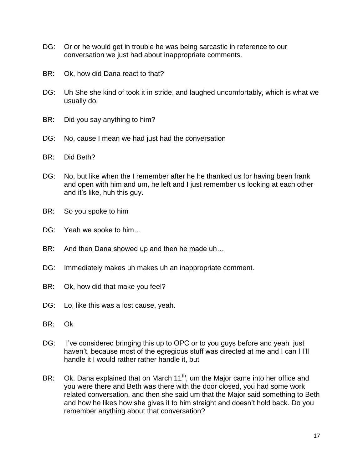- DG: Or or he would get in trouble he was being sarcastic in reference to our conversation we just had about inappropriate comments.
- BR: Ok, how did Dana react to that?
- DG: Uh She she kind of took it in stride, and laughed uncomfortably, which is what we usually do.
- BR: Did you say anything to him?
- DG: No, cause I mean we had just had the conversation
- BR: Did Beth?
- DG: No, but like when the I remember after he he thanked us for having been frank and open with him and um, he left and I just remember us looking at each other and it's like, huh this guy.
- BR: So you spoke to him
- DG: Yeah we spoke to him...
- BR: And then Dana showed up and then he made uh...
- DG: Immediately makes uh makes uh an inappropriate comment.
- BR: Ok, how did that make you feel?
- DG: Lo, like this was a lost cause, yeah.
- BR: Ok
- DG: I've considered bringing this up to OPC or to you guys before and yeah just haven't, because most of the egregious stuff was directed at me and I can I I'll handle it I would rather rather handle it, but
- BR: Ok. Dana explained that on March  $11<sup>th</sup>$ , um the Major came into her office and you were there and Beth was there with the door closed, you had some work related conversation, and then she said um that the Major said something to Beth and how he likes how she gives it to him straight and doesn't hold back. Do you remember anything about that conversation?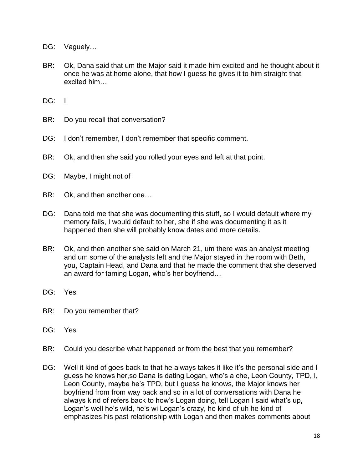- DG: Vaguely...
- BR: Ok, Dana said that um the Major said it made him excited and he thought about it once he was at home alone, that how I guess he gives it to him straight that excited him…

DG: I

- BR: Do you recall that conversation?
- DG: I don't remember, I don't remember that specific comment.
- BR: Ok, and then she said you rolled your eyes and left at that point.
- DG: Maybe, I might not of
- BR: Ok, and then another one…
- DG: Dana told me that she was documenting this stuff, so I would default where my memory fails, I would default to her, she if she was documenting it as it happened then she will probably know dates and more details.
- BR: Ok, and then another she said on March 21, um there was an analyst meeting and um some of the analysts left and the Major stayed in the room with Beth, you, Captain Head, and Dana and that he made the comment that she deserved an award for taming Logan, who's her boyfriend…
- DG: Yes
- BR: Do you remember that?
- DG: Yes
- BR: Could you describe what happened or from the best that you remember?
- DG: Well it kind of goes back to that he always takes it like it's the personal side and I guess he knows her,so Dana is dating Logan, who's a che, Leon County, TPD, I, Leon County, maybe he's TPD, but I guess he knows, the Major knows her boyfriend from from way back and so in a lot of conversations with Dana he always kind of refers back to how's Logan doing, tell Logan I said what's up, Logan's well he's wild, he's wi Logan's crazy, he kind of uh he kind of emphasizes his past relationship with Logan and then makes comments about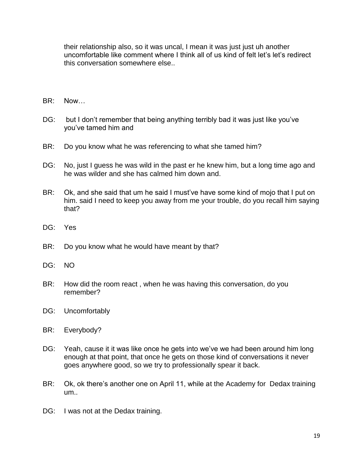their relationship also, so it was uncal, I mean it was just just uh another uncomfortable like comment where I think all of us kind of felt let's let's redirect this conversation somewhere else..

- BR: Now…
- DG: but I don't remember that being anything terribly bad it was just like you've you've tamed him and
- BR: Do you know what he was referencing to what she tamed him?
- DG: No, just I guess he was wild in the past er he knew him, but a long time ago and he was wilder and she has calmed him down and.
- BR: Ok, and she said that um he said I must've have some kind of mojo that I put on him. said I need to keep you away from me your trouble, do you recall him saying that?
- DG: Yes
- BR: Do you know what he would have meant by that?
- DG: NO
- BR: How did the room react , when he was having this conversation, do you remember?
- DG: Uncomfortably
- BR: Everybody?
- DG: Yeah, cause it it was like once he gets into we've we had been around him long enough at that point, that once he gets on those kind of conversations it never goes anywhere good, so we try to professionally spear it back.
- BR: Ok, ok there's another one on April 11, while at the Academy for Dedax training um..
- DG: I was not at the Dedax training.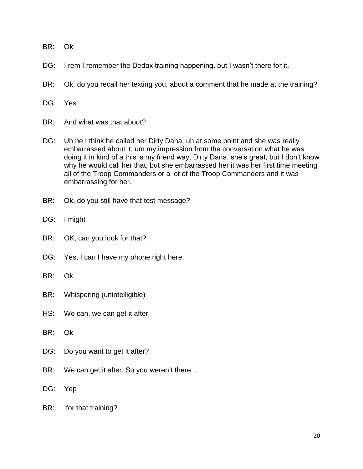- BR: Ok
- DG: I rem I remember the Dedax training happening, but I wasn't there for it.
- BR: Ok, do you recall her texting you, about a comment that he made at the training?
- DG: Yes
- BR: And what was that about?
- DG: Uh he I think he called her Dirty Dana, uh at some point and she was really embarrassed about it, um my impression from the conversation what he was doing it in kind of a this is my friend way, Dirty Dana, she's great, but I don't know why he would call her that, but she embarrassed her it was her first time meeting all of the Troop Commanders or a lot of the Troop Commanders and it was embarrassing for her.
- BR: Ok, do you still have that test message?
- DG: I might
- BR: OK, can you look for that?
- DG: Yes, I can I have my phone right here.
- BR: Ok
- BR: Whispering (unintelligible)
- HS: We can, we can get it after
- BR: Ok
- DG: Do you want to get it after?
- BR: We can get it after. So you weren't there ...
- DG: Yep
- BR: for that training?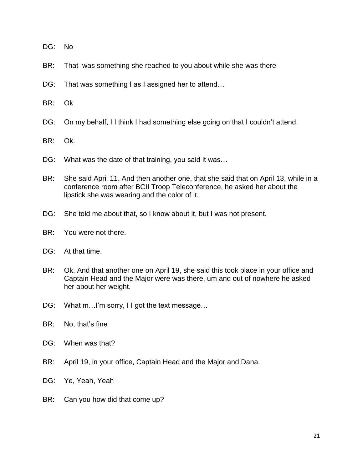- DG: No
- BR: That was something she reached to you about while she was there
- DG: That was something I as I assigned her to attend...
- BR: Ok
- DG: On my behalf, I I think I had something else going on that I couldn't attend.
- BR: Ok.
- DG: What was the date of that training, you said it was...
- BR: She said April 11. And then another one, that she said that on April 13, while in a conference room after BCII Troop Teleconference, he asked her about the lipstick she was wearing and the color of it.
- DG: She told me about that, so I know about it, but I was not present.
- BR: You were not there.
- DG: At that time.
- BR: Ok. And that another one on April 19, she said this took place in your office and Captain Head and the Major were was there, um and out of nowhere he asked her about her weight.
- DG: What m...I'm sorry, I I got the text message...
- BR: No, that's fine
- DG: When was that?
- BR: April 19, in your office, Captain Head and the Major and Dana.
- DG: Ye, Yeah, Yeah
- BR: Can you how did that come up?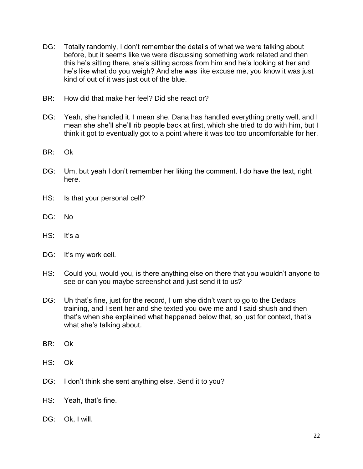- DG: Totally randomly, I don't remember the details of what we were talking about before, but it seems like we were discussing something work related and then this he's sitting there, she's sitting across from him and he's looking at her and he's like what do you weigh? And she was like excuse me, you know it was just kind of out of it was just out of the blue.
- BR: How did that make her feel? Did she react or?
- DG: Yeah, she handled it, I mean she, Dana has handled everything pretty well, and I mean she she'll she'll rib people back at first, which she tried to do with him, but I think it got to eventually got to a point where it was too too uncomfortable for her.
- BR: Ok
- DG: Um, but yeah I don't remember her liking the comment. I do have the text, right here.
- HS: Is that your personal cell?
- DG: No
- $HS:$  It's a
- DG: It's my work cell.
- HS: Could you, would you, is there anything else on there that you wouldn't anyone to see or can you maybe screenshot and just send it to us?
- DG: Uh that's fine, just for the record, I um she didn't want to go to the Dedacs training, and I sent her and she texted you owe me and I said shush and then that's when she explained what happened below that, so just for context, that's what she's talking about.
- BR: Ok
- HS: Ok
- DG: I don't think she sent anything else. Send it to you?
- HS: Yeah, that's fine.
- DG: Ok, I will.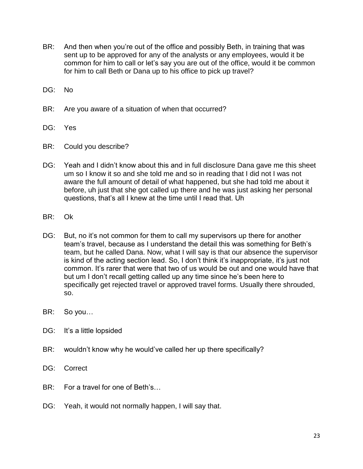- BR: And then when you're out of the office and possibly Beth, in training that was sent up to be approved for any of the analysts or any employees, would it be common for him to call or let's say you are out of the office, would it be common for him to call Beth or Dana up to his office to pick up travel?
- DG: No
- BR: Are you aware of a situation of when that occurred?
- DG: Yes
- BR: Could you describe?
- DG: Yeah and I didn't know about this and in full disclosure Dana gave me this sheet um so I know it so and she told me and so in reading that I did not I was not aware the full amount of detail of what happened, but she had told me about it before, uh just that she got called up there and he was just asking her personal questions, that's all I knew at the time until I read that. Uh
- BR: Ok
- DG: But, no it's not common for them to call my supervisors up there for another team's travel, because as I understand the detail this was something for Beth's team, but he called Dana. Now, what I will say is that our absence the supervisor is kind of the acting section lead. So, I don't think it's inappropriate, it's just not common. It's rarer that were that two of us would be out and one would have that but um I don't recall getting called up any time since he's been here to specifically get rejected travel or approved travel forms. Usually there shrouded, so.
- BR: So you…
- DG: It's a little lopsided
- BR: wouldn't know why he would've called her up there specifically?
- DG: Correct
- BR: For a travel for one of Beth's…
- DG: Yeah, it would not normally happen, I will say that.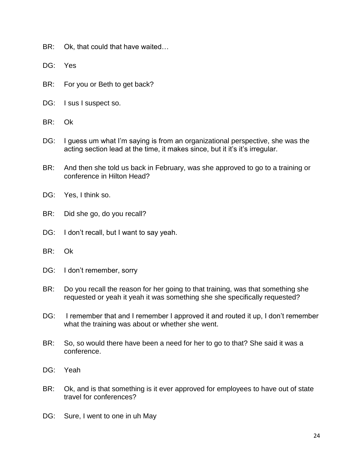- BR: Ok, that could that have waited…
- DG: Yes
- BR: For you or Beth to get back?
- DG: I sus I suspect so.
- BR: Ok
- DG: I guess um what I'm saying is from an organizational perspective, she was the acting section lead at the time, it makes since, but it it's it's irregular.
- BR: And then she told us back in February, was she approved to go to a training or conference in Hilton Head?
- DG: Yes, I think so.
- BR: Did she go, do you recall?
- DG: I don't recall, but I want to say yeah.
- BR: Ok
- DG: I don't remember, sorry
- BR: Do you recall the reason for her going to that training, was that something she requested or yeah it yeah it was something she she specifically requested?
- DG: I remember that and I remember I approved it and routed it up, I don't remember what the training was about or whether she went.
- BR: So, so would there have been a need for her to go to that? She said it was a conference.
- DG: Yeah
- BR: Ok, and is that something is it ever approved for employees to have out of state travel for conferences?
- DG: Sure, I went to one in uh May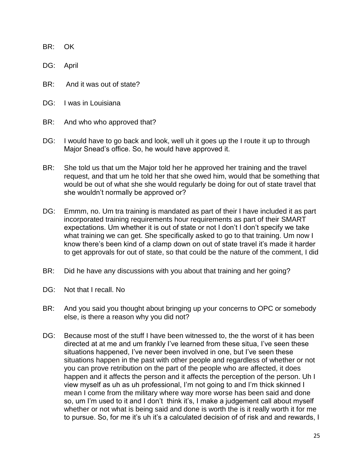BR: OK

DG: April

- BR: And it was out of state?
- DG: I was in Louisiana
- BR: And who who approved that?
- DG: I would have to go back and look, well uh it goes up the I route it up to through Major Snead's office. So, he would have approved it.
- BR: She told us that um the Major told her he approved her training and the travel request, and that um he told her that she owed him, would that be something that would be out of what she she would regularly be doing for out of state travel that she wouldn't normally be approved or?
- DG: Emmm, no. Um tra training is mandated as part of their I have included it as part incorporated training requirements hour requirements as part of their SMART expectations. Um whether it is out of state or not I don't I don't specify we take what training we can get. She specifically asked to go to that training. Um now I know there's been kind of a clamp down on out of state travel it's made it harder to get approvals for out of state, so that could be the nature of the comment, I did
- BR: Did he have any discussions with you about that training and her going?
- DG: Not that I recall. No
- BR: And you said you thought about bringing up your concerns to OPC or somebody else, is there a reason why you did not?
- DG: Because most of the stuff I have been witnessed to, the the worst of it has been directed at at me and um frankly I've learned from these situa, I've seen these situations happened, I've never been involved in one, but I've seen these situations happen in the past with other people and regardless of whether or not you can prove retribution on the part of the people who are affected, it does happen and it affects the person and it affects the perception of the person. Uh I view myself as uh as uh professional, I'm not going to and I'm thick skinned I mean I come from the military where way more worse has been said and done so, um I'm used to it and I don't think it's, I make a judgement call about myself whether or not what is being said and done is worth the is it really worth it for me to pursue. So, for me it's uh it's a calculated decision of of risk and and rewards, I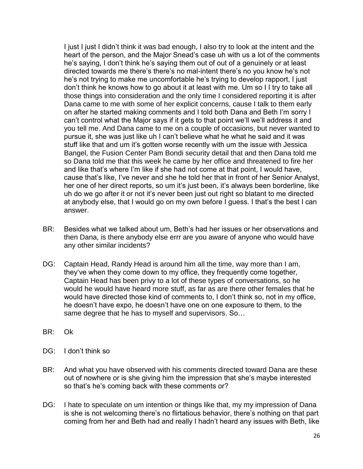I just I just I didn't think it was bad enough, I also try to look at the intent and the heart of the person, and the Major Snead's case uh with us a lot of the comments he's saying, I don't think he's saying them out of out of a genuinely or at least directed towards me there's there's no mal-intent there's no you know he's not he's not trying to make me uncomfortable he's trying to develop rapport, I just don't think he knows how to go about it at least with me. Um so I I try to take all those things into consideration and the only time I considered reporting it is after Dana came to me with some of her explicit concerns, cause I talk to them early on after he started making comments and I told both Dana and Beth I'm sorry I can't control what the Major says if it gets to that point we'll we'll address it and you tell me. And Dana came to me on a couple of occasions, but never wanted to pursue it, she was just like uh I can't believe what he what he said and it was stuff like that and um it's gotten worse recently with um the issue with Jessica Bangel, the Fusion Center Pam Bondi security detail that and then Dana told me so Dana told me that this week he came by her office and threatened to fire her and like that's where I'm like if she had not come at that point, I would have, cause that's like, I've never and she he told her that in front of her Senior Analyst, her one of her direct reports, so um it's just been, it's always been borderline, like uh do we go after it or not it's never been just out right so blatant to me directed at anybody else, that I would go on my own before I guess. I that's the best I can answer.

- BR: Besides what we talked about um, Beth's had her issues or her observations and then Dana, is there anybody else errr are you aware of anyone who would have any other similar incidents?
- DG: Captain Head, Randy Head is around him all the time, way more than I am, they've when they come down to my office, they frequently come together, Captain Head has been privy to a lot of these types of conversations, so he would he would have heard more stuff, as far as are there other females that he would have directed those kind of comments to, I don't think so, not in my office, he doesn't have expo, he doesn't have one on one exposure to them, to the same degree that he has to myself and supervisors. So…
- BR: Ok
- DG: I don't think so
- BR: And what you have observed with his comments directed toward Dana are these out of nowhere or is she giving him the impression that she's maybe interested so that's he's coming back with these comments or?
- DG: I hate to speculate on um intention or things like that, my my impression of Dana is she is not welcoming there's no flirtatious behavior, there's nothing on that part coming from her and Beth had and really I hadn't heard any issues with Beth, like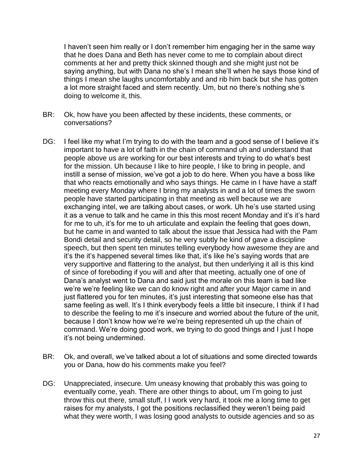I haven't seen him really or I don't remember him engaging her in the same way that he does Dana and Beth has never come to me to complain about direct comments at her and pretty thick skinned though and she might just not be saying anything, but with Dana no she's I mean she'll when he says those kind of things I mean she laughs uncomfortably and and rib him back but she has gotten a lot more straight faced and stern recently. Um, but no there's nothing she's doing to welcome it, this.

- BR: Ok, how have you been affected by these incidents, these comments, or conversations?
- DG: I feel like my what I'm trying to do with the team and a good sense of I believe it's important to have a lot of faith in the chain of command uh and understand that people above us are working for our best interests and trying to do what's best for the mission. Uh because I like to hire people, I like to bring in people, and instill a sense of mission, we've got a job to do here. When you have a boss like that who reacts emotionally and who says things. He came in I have have a staff meeting every Monday where I bring my analysts in and a lot of times the sworn people have started participating in that meeting as well because we are exchanging intel, we are talking about cases, or work. Uh he's use started using it as a venue to talk and he came in this this most recent Monday and it's it's hard for me to uh, it's for me to uh articulate and explain the feeling that goes down, but he came in and wanted to talk about the issue that Jessica had with the Pam Bondi detail and security detail, so he very subtly he kind of gave a discipline speech, but then spent ten minutes telling everybody how awesome they are and it's the it's happened several times like that, it's like he's saying words that are very supportive and flattering to the analyst, but then underlying it all is this kind of since of foreboding if you will and after that meeting, actually one of one of Dana's analyst went to Dana and said just the morale on this team is bad like we're we're feeling like we can do know right and after your Major came in and just flattered you for ten minutes, it's just interesting that someone else has that same feeling as well. It's I think everybody feels a little bit insecure, I think if I had to describe the feeling to me it's insecure and worried about the future of the unit, because I don't know how we're we're being represented uh up the chain of command. We're doing good work, we trying to do good things and I just I hope it's not being undermined.
- BR: Ok, and overall, we've talked about a lot of situations and some directed towards you or Dana, how do his comments make you feel?
- DG: Unappreciated, insecure. Um uneasy knowing that probably this was going to eventually come, yeah. There are other things to about, um I'm going to just throw this out there, small stuff, I I work very hard, it took me a long time to get raises for my analysts, I got the positions reclassified they weren't being paid what they were worth, I was losing good analysts to outside agencies and so as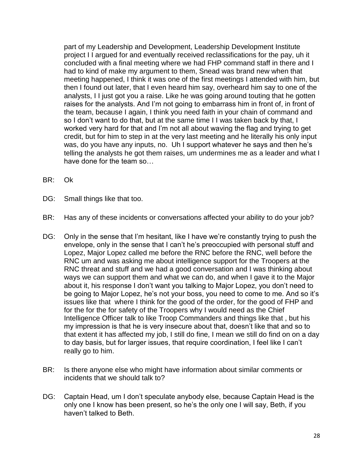part of my Leadership and Development, Leadership Development Institute project I I argued for and eventually received reclassifications for the pay, uh it concluded with a final meeting where we had FHP command staff in there and I had to kind of make my argument to them, Snead was brand new when that meeting happened, I think it was one of the first meetings I attended with him, but then I found out later, that I even heard him say, overheard him say to one of the analysts, I I just got you a raise. Like he was going around touting that he gotten raises for the analysts. And I'm not going to embarrass him in front of, in front of the team, because I again, I think you need faith in your chain of command and so I don't want to do that, but at the same time I I was taken back by that, I worked very hard for that and I'm not all about waving the flag and trying to get credit, but for him to step in at the very last meeting and he literally his only input was, do you have any inputs, no. Uh I support whatever he says and then he's telling the analysts he got them raises, um undermines me as a leader and what I have done for the team so…

- BR: Ok
- DG: Small things like that too.
- BR: Has any of these incidents or conversations affected your ability to do your job?
- DG: Only in the sense that I'm hesitant, like I have we're constantly trying to push the envelope, only in the sense that I can't he's preoccupied with personal stuff and Lopez, Major Lopez called me before the RNC before the RNC, well before the RNC um and was asking me about intelligence support for the Troopers at the RNC threat and stuff and we had a good conversation and I was thinking about ways we can support them and what we can do, and when I gave it to the Major about it, his response I don't want you talking to Major Lopez, you don't need to be going to Major Lopez, he's not your boss, you need to come to me. And so it's issues like that where I think for the good of the order, for the good of FHP and for the for the for safety of the Troopers why I would need as the Chief Intelligence Officer talk to like Troop Commanders and things like that , but his my impression is that he is very insecure about that, doesn't like that and so to that extent it has affected my job, I still do fine, I mean we still do find on on a day to day basis, but for larger issues, that require coordination, I feel like I can't really go to him.
- BR: Is there anyone else who might have information about similar comments or incidents that we should talk to?
- DG: Captain Head, um I don't speculate anybody else, because Captain Head is the only one I know has been present, so he's the only one I will say, Beth, if you haven't talked to Beth.